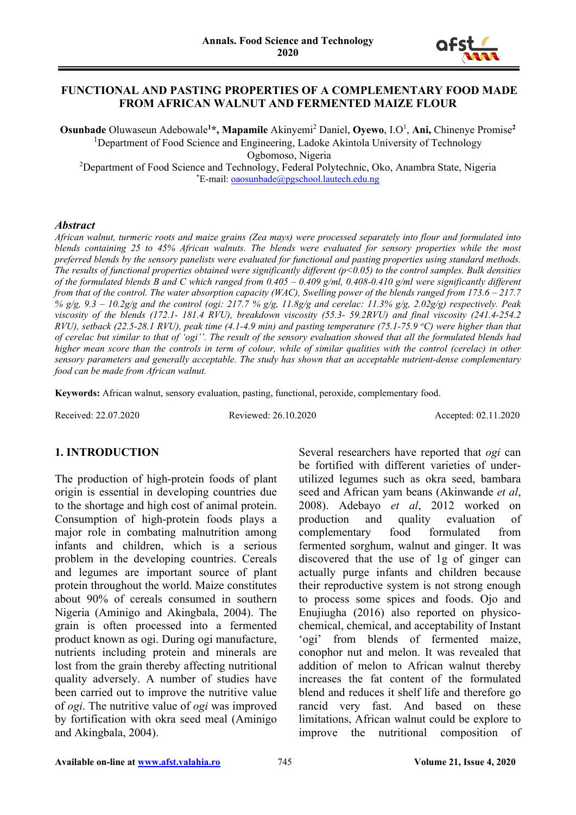

#### **FUNCTIONAL AND PASTING PROPERTIES OF A COMPLEMENTARY FOOD MADE FROM AFRICAN WALNUT AND FERMENTED MAIZE FLOUR**

**Osunbade** Oluwaseun Adebowale**<sup>1</sup> \*, Mapamile** Akinyemi<sup>2</sup> Daniel, **Oyewo**, I.O<sup>1</sup> , **Ani,** Chinenye Promise**<sup>2</sup>** <sup>1</sup>Department of Food Science and Engineering, Ladoke Akintola University of Technology Ogbomoso, Nigeria <sup>2</sup>Department of Food Science and Technology, Federal Polytechnic, Oko, Anambra State, Nigeria \*E-mail: [oaosunbade@pgschool.lautech.edu.ng](mailto:oaosunbade@pgschool.lautech.edu.ng)

#### *Abstract*

*African walnut, turmeric roots and maize grains (Zea mays) were processed separately into flour and formulated into blends containing 25 to 45% African walnuts. The blends were evaluated for sensory properties while the most preferred blends by the sensory panelists were evaluated for functional and pasting properties using standard methods. The results of functional properties obtained were significantly different (p<0.05) to the control samples. Bulk densities of the formulated blends B and C which ranged from 0.405 – 0.409 g/ml, 0.408-0.410 g/ml were significantly different from that of the control. The water absorption capacity (WAC), Swelling power of the blends ranged from 173.6 – 217.7 % g/g, 9.3 – 10.2g/g and the control (ogi: 217.7 % g/g, 11.8g/g and cerelac: 11.3% g/g, 2.02g/g) respectively. Peak viscosity of the blends (172.1- 181.4 RVU), breakdown viscosity (55.3- 59.2RVU) and final viscosity (241.4-254.2 RVU*), setback (22.5-28.1 RVU), peak time (4.1-4.9 min) and pasting temperature (75.1-75.9 °C) were higher than that *of cerelac but similar to that of 'ogi''. The result of the sensory evaluation showed that all the formulated blends had higher mean score than the controls in term of colour, while of similar qualities with the control (cerelac) in other sensory parameters and generally acceptable. The study has shown that an acceptable nutrient-dense complementary food can be made from African walnut.*

**Keywords:** African walnut, sensory evaluation, pasting, functional, peroxide, complementary food.

Received: 22.07.2020 Reviewed: 26.10.2020 Accepted: 02.11.2020

#### **1. INTRODUCTION**

The production of high-protein foods of plant origin is essential in developing countries due to the shortage and high cost of animal protein. Consumption of high-protein foods plays a major role in combating malnutrition among infants and children, which is a serious problem in the developing countries. Cereals and legumes are important source of plant protein throughout the world. Maize constitutes about 90% of cereals consumed in southern Nigeria (Aminigo and Akingbala, 2004). The grain is often processed into a fermented product known as ogi. During ogi manufacture, nutrients including protein and minerals are lost from the grain thereby affecting nutritional quality adversely. A number of studies have been carried out to improve the nutritive value of *ogi*. The nutritive value of *ogi* was improved by fortification with okra seed meal (Aminigo and Akingbala, 2004).

Several researchers have reported that *ogi* can be fortified with different varieties of underutilized legumes such as okra seed, bambara seed and African yam beans (Akinwande *et al*, 2008). Adebayo *et al*, 2012 worked on production and quality evaluation of complementary food formulated from fermented sorghum, walnut and ginger. It was discovered that the use of 1g of ginger can actually purge infants and children because their reproductive system is not strong enough to process some spices and foods. Ojo and Enujiugha (2016) also reported on physicochemical, chemical, and acceptability of Instant 'ogi' from blends of fermented maize, conophor nut and melon. It was revealed that addition of melon to African walnut thereby increases the fat content of the formulated blend and reduces it shelf life and therefore go rancid very fast. And based on these limitations, African walnut could be explore to improve the nutritional composition of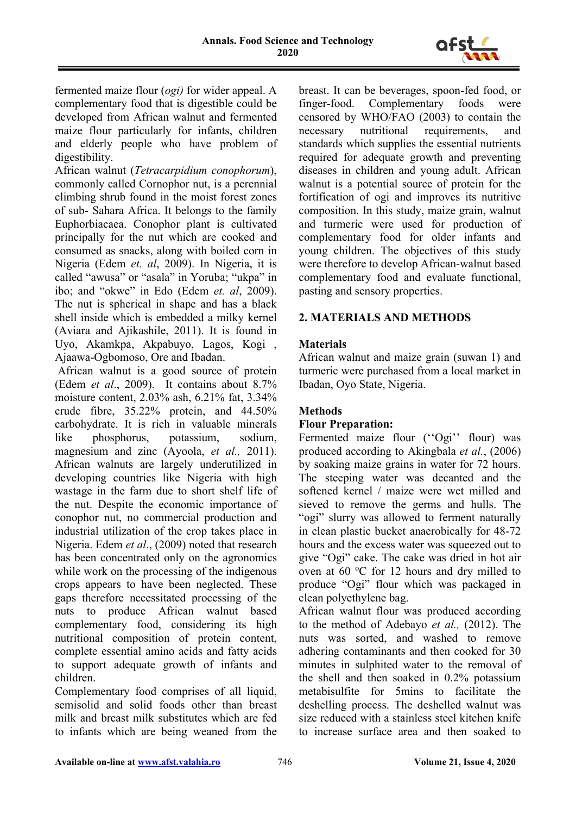

fermented maize flour (*ogi)* for wider appeal. A complementary food that is digestible could be developed from African walnut and fermented maize flour particularly for infants, children and elderly people who have problem of digestibility.

African walnut (*Tetracarpidium conophorum*), commonly called Cornophor nut, is a perennial climbing shrub found in the moist forest zones of sub- Sahara Africa. It belongs to the family Euphorbiacaea. Conophor plant is cultivated principally for the nut which are cooked and consumed as snacks, along with boiled corn in Nigeria (Edem *et. al*, 2009). In Nigeria, it is called "awusa" or "asala" in Yoruba; "ukpa" in ibo; and "okwe" in Edo (Edem *et. al*, 2009). The nut is spherical in shape and has a black shell inside which is embedded a milky kernel (Aviara and Ajikashile, 2011). It is found in Uyo, Akamkpa, Akpabuyo, Lagos, Kogi , Ajaawa-Ogbomoso, Ore and Ibadan.

African walnut is a good source of protein (Edem *et al*., 2009). It contains about 8.7% moisture content, 2.03% ash, 6.21% fat, 3.34% crude fibre, 35.22% protein, and 44.50% carbohydrate. It is rich in valuable minerals like phosphorus, potassium, sodium, magnesium and zinc (Ayoola, *et al.,* 2011). African walnuts are largely underutilized in developing countries like Nigeria with high wastage in the farm due to short shelf life of the nut. Despite the economic importance of conophor nut, no commercial production and industrial utilization of the crop takes place in Nigeria. Edem *et al*., (2009) noted that research has been concentrated only on the agronomics while work on the processing of the indigenous crops appears to have been neglected. These gaps therefore necessitated processing of the nuts to produce African walnut based complementary food, considering its high nutritional composition of protein content, complete essential amino acids and fatty acids to support adequate growth of infants and children.

Complementary food comprises of all liquid, semisolid and solid foods other than breast milk and breast milk substitutes which are fed to infants which are being weaned from the breast. It can be beverages, spoon-fed food, or finger-food. Complementary foods were censored by WHO/FAO (2003) to contain the necessary nutritional requirements, and standards which supplies the essential nutrients required for adequate growth and preventing diseases in children and young adult. African walnut is a potential source of protein for the fortification of ogi and improves its nutritive composition. In this study, maize grain, walnut and turmeric were used for production of complementary food for older infants and young children. The objectives of this study were therefore to develop African-walnut based complementary food and evaluate functional, pasting and sensory properties.

## **2. MATERIALS AND METHODS**

## **Materials**

African walnut and maize grain (suwan 1) and turmeric were purchased from a local market in Ibadan, Oyo State, Nigeria.

# **Methods**

## **Flour Preparation:**

Fermented maize flour ("Ogi" flour) was produced according to Akingbala *et al.*, (2006) by soaking maize grains in water for 72 hours. The steeping water was decanted and the softened kernel / maize were wet milled and sieved to remove the germs and hulls. The "ogi" slurry was allowed to ferment naturally in clean plastic bucket anaerobically for 48-72 hours and the excess water was squeezed out to give "Ogi" cake. The cake was dried in hot air oven at 60 °C for 12 hours and dry milled to produce "Ogi" flour which was packaged in clean polyethylene bag.

African walnut flour was produced according to the method of Adebayo *et al.,* (2012). The nuts was sorted, and washed to remove adhering contaminants and then cooked for 30 minutes in sulphited water to the removal of the shell and then soaked in 0.2% potassium metabisulfite for 5mins to facilitate the deshelling process. The deshelled walnut was size reduced with a stainless steel kitchen knife to increase surface area and then soaked to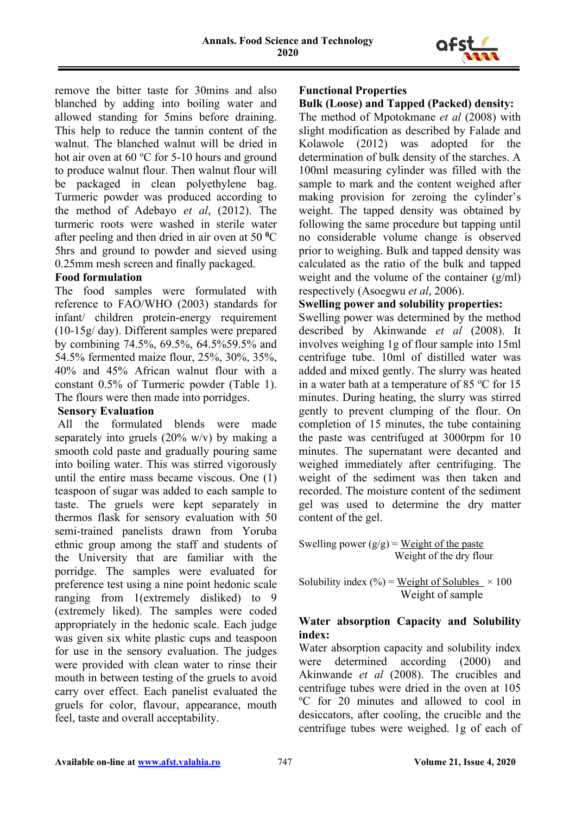

remove the bitter taste for 30mins and also blanched by adding into boiling water and allowed standing for 5mins before draining. This help to reduce the tannin content of the walnut. The blanched walnut will be dried in hot air oven at  $60 °C$  for 5-10 hours and ground to produce walnut flour. Then walnut flour will be packaged in clean polyethylene bag. Turmeric powder was produced according to the method of Adebayo *et al*, (2012). The turmeric roots were washed in sterile water after peeling and then dried in air oven at 50 **<sup>0</sup>**C 5hrs and ground to powder and sieved using 0.25mm mesh screen and finally packaged.

## **Food formulation**

The food samples were formulated with reference to FAO/WHO (2003) standards for infant/ children protein-energy requirement (10-15g/ day). Different samples were prepared by combining 74.5%, 69.5%, 64.5%59.5% and 54.5% fermented maize flour, 25%, 30%, 35%, 40% and 45% African walnut flour with a constant 0.5% of Turmeric powder (Table 1). The flours were then made into porridges.

## **Sensory Evaluation**

All the formulated blends were made separately into gruels  $(20\% \text{ w/v})$  by making a smooth cold paste and gradually pouring same into boiling water. This was stirred vigorously until the entire mass became viscous. One (1) teaspoon of sugar was added to each sample to taste. The gruels were kept separately in thermos flask for sensory evaluation with 50 semi-trained panelists drawn from Yoruba ethnic group among the staff and students of the University that are familiar with the porridge. The samples were evaluated for preference test using a nine point hedonic scale ranging from 1(extremely disliked) to 9 (extremely liked). The samples were coded appropriately in the hedonic scale. Each judge was given six white plastic cups and teaspoon for use in the sensory evaluation. The judges were provided with clean water to rinse their mouth in between testing of the gruels to avoid carry over effect. Each panelist evaluated the gruels for color, flavour, appearance, mouth feel, taste and overall acceptability.

## **Functional Properties**

## **Bulk (Loose) and Tapped (Packed) density:**

The method of Mpotokmane *et al* (2008) with slight modification as described by Falade and Kolawole (2012) was adopted for the determination of bulk density of the starches. A 100ml measuring cylinder was filled with the sample to mark and the content weighed after making provision for zeroing the cylinder's weight. The tapped density was obtained by following the same procedure but tapping until no considerable volume change is observed prior to weighing. Bulk and tapped density was calculated as the ratio of the bulk and tapped weight and the volume of the container  $(g/ml)$ respectively (Asoegwu *et al*, 2006).

#### **Swelling power and solubility properties:**

Swelling power was determined by the method described by Akinwande *et al* (2008). It involves weighing 1g of flour sample into 15ml centrifuge tube. 10ml of distilled water was added and mixed gently. The slurry was heated in a water bath at a temperature of 85  $^{\circ}$ C for 15 minutes. During heating, the slurry was stirred gently to prevent clumping of the flour. On completion of 15 minutes, the tube containing the paste was centrifuged at 3000rpm for  $10$ minutes. The supernatant were decanted and weighed immediately after centrifuging. The weight of the sediment was then taken and recorded. The moisture content of the sediment gel was used to determine the dry matter content of the gel.

Swelling power  $(g/g)$  = Weight of the paste Weight of the dry flour

Solubility index (%) = Weight of Solubles  $\times$  100 Weight of sample

## **Water absorption Capacity and Solubility index:**

Water absorption capacity and solubility index were determined according (2000) and Akinwande *et al* (2008). The crucibles and centrifuge tubes were dried in the oven at 105 o C for 20 minutes and allowed to cool in desiccators, after cooling, the crucible and the centrifuge tubes were weighed. 1g of each of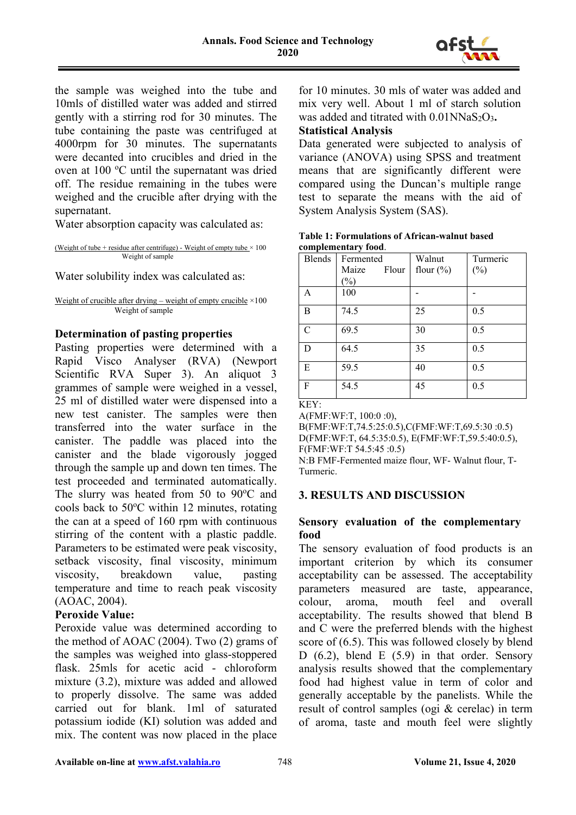

the sample was weighed into the tube and 10mls of distilled water was added and stirred gently with a stirring rod for 30 minutes. The tube containing the paste was centrifuged at 4000rpm for 30 minutes. The supernatants were decanted into crucibles and dried in the oven at 100 °C until the supernatant was dried off. The residue remaining in the tubes were weighed and the crucible after drying with the supernatant.

Water absorption capacity was calculated as:

(Weight of tube + residue after centrifuge) - Weight of empty tube  $\times$  100 Weight of sample

Water solubility index was calculated as:

Weight of crucible after drying – weight of empty crucible  $\times 100$ Weight of sample

#### **Determination of pasting properties**

Pasting properties were determined with a Rapid Visco Analyser (RVA) (Newport Scientific RVA Super 3). An aliquot 3 grammes of sample were weighed in a vessel, 25 ml of distilled water were dispensed into a new test canister. The samples were then transferred into the water surface in the canister. The paddle was placed into the canister and the blade vigorously jogged through the sample up and down ten times. The test proceeded and terminated automatically. The slurry was heated from  $50$  to  $90^{\circ}$ C and cools back to 50°C within 12 minutes, rotating the can at a speed of 160 rpm with continuous stirring of the content with a plastic paddle. Parameters to be estimated were peak viscosity, setback viscosity, final viscosity, minimum viscosity, breakdown value, pasting temperature and time to reach peak viscosity (AOAC, 2004).

#### **Peroxide Value:**

Peroxide value was determined according to the method of AOAC (2004). Two (2) grams of the samples was weighed into glass-stoppered flask. 25mls for acetic acid - chloroform mixture (3.2), mixture was added and allowed to properly dissolve. The same was added carried out for blank. 1ml of saturated potassium iodide (KI) solution was added and mix. The content was now placed in the place

for 10 minutes. 30 mls of water was added and mix very well. About 1 ml of starch solution was added and titrated with 0.01NNaS2O3**.**

### **Statistical Analysis**

Data generated were subjected to analysis of variance (ANOVA) using SPSS and treatment means that are significantly different were compared using the Duncan's multiple range test to separate the means with the aid of System Analysis System (SAS).

|               | сошрісшенна у тоом. |               |          |  |
|---------------|---------------------|---------------|----------|--|
| <b>Blends</b> | Fermented           | Walnut        | Turmeric |  |
|               | Flour<br>Maize      | flour $(\% )$ | $(\%)$   |  |
|               | $(\%)$              |               |          |  |
| A             | 100                 |               |          |  |
| B             | 74.5                | 25            | 0.5      |  |
| $\mathcal{C}$ | 69.5                | 30            | 0.5      |  |
| D             | 64.5                | 35            | 0.5      |  |
| E             | 59.5                | 40            | 0.5      |  |
| F             | 54.5                | 45            | 0.5      |  |

**Table 1: Formulations of African-walnut based complementary food**.

KEY:

A(FMF:WF:T, 100:0 :0), B(FMF:WF:T,74.5:25:0.5),C(FMF:WF:T,69.5:30 :0.5) D(FMF:WF:T, 64.5:35:0.5), E(FMF:WF:T,59.5:40:0.5), F(FMF:WF:T 54.5:45 :0.5) N:B FMF-Fermented maize flour, WF- Walnut flour, T-Turmeric.

## **3. RESULTS AND DISCUSSION**

## **Sensory evaluation of the complementary food**

The sensory evaluation of food products is an important criterion by which its consumer acceptability can be assessed. The acceptability parameters measured are taste, appearance, colour, aroma, mouth feel and overall acceptability. The results showed that blend B and C were the preferred blends with the highest score of (6.5). This was followed closely by blend D (6.2), blend E (5.9) in that order. Sensory analysis results showed that the complementary food had highest value in term of color and generally acceptable by the panelists. While the result of control samples (ogi & cerelac) in term of aroma, taste and mouth feel were slightly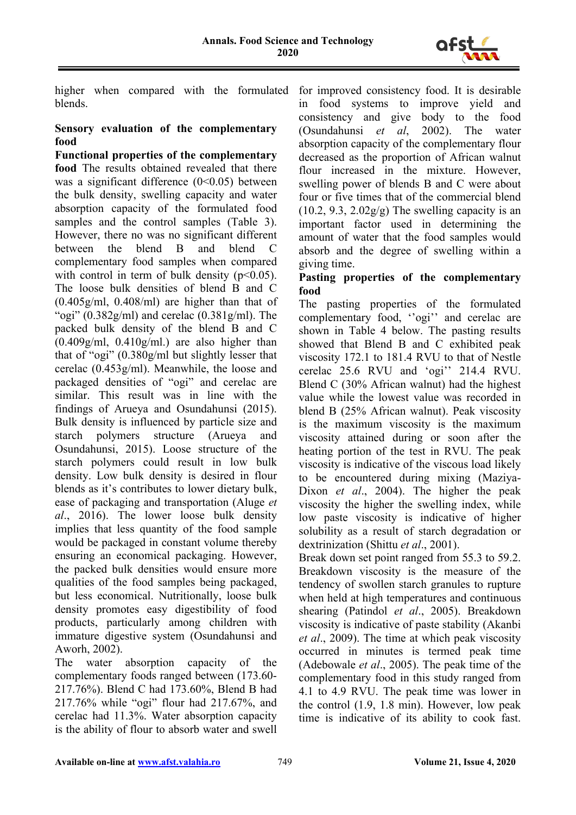

higher when compared with the formulated for improved consistency food. It is desirable blends.

#### **Sensory evaluation of the complementary food**

**Functional properties of the complementary food** The results obtained revealed that there was a significant difference  $(0<0.05)$  between the bulk density, swelling capacity and water absorption capacity of the formulated food samples and the control samples (Table 3). However, there no was no significant different between the blend B and blend C complementary food samples when compared with control in term of bulk density  $(p<0.05)$ . The loose bulk densities of blend B and C (0.405g/ml, 0.408/ml) are higher than that of "ogi" (0.382g/ml) and cerelac (0.381g/ml). The packed bulk density of the blend B and C  $(0.409g/ml, 0.410g/ml)$  are also higher than that of "ogi" (0.380g/ml but slightly lesser that cerelac (0.453g/ml). Meanwhile, the loose and packaged densities of "ogi" and cerelac are similar. This result was in line with the findings of Arueya and Osundahunsi (2015). Bulk density is influenced by particle size and starch polymers structure (Arueya and Osundahunsi, 2015). Loose structure of the starch polymers could result in low bulk density. Low bulk density is desired in flour blends as it's contributes to lower dietary bulk, ease of packaging and transportation (Aluge *et al*., 2016). The lower loose bulk density implies that less quantity of the food sample would be packaged in constant volume thereby ensuring an economical packaging. However, the packed bulk densities would ensure more qualities of the food samples being packaged, but less economical. Nutritionally, loose bulk density promotes easy digestibility of food products, particularly among children with immature digestive system (Osundahunsi and Aworh, 2002).

The water absorption capacity of the complementary foods ranged between (173.60- 217.76%). Blend C had 173.60%, Blend B had 217.76% while "ogi" flour had 217.67%, and cerelac had 11.3%. Water absorption capacity is the ability of flour to absorb water and swell in food systems to improve yield and consistency and give body to the food (Osundahunsi *et al*, 2002). The water absorption capacity of the complementary flour decreased as the proportion of African walnut flour increased in the mixture. However, swelling power of blends B and C were about four or five times that of the commercial blend  $(10.2, 9.3, 2.02g/g)$  The swelling capacity is an important factor used in determining the amount of water that the food samples would absorb and the degree of swelling within a giving time.

## **Pasting properties of the complementary food**

The pasting properties of the formulated complementary food, ''ogi'' and cerelac are shown in Table 4 below. The pasting results showed that Blend B and C exhibited peak viscosity 172.1 to 181.4 RVU to that of Nestle cerelac 25.6 RVU and 'ogi'' 214.4 RVU. Blend C (30% African walnut) had the highest value while the lowest value was recorded in blend B (25% African walnut). Peak viscosity is the maximum viscosity is the maximum viscosity attained during or soon after the heating portion of the test in RVU. The peak viscosity is indicative of the viscous load likely to be encountered during mixing (Maziya-Dixon *et al*., 2004). The higher the peak viscosity the higher the swelling index, while low paste viscosity is indicative of higher solubility as a result of starch degradation or dextrinization (Shittu *et al*., 2001).

Break down set point ranged from 55.3 to 59.2. Breakdown viscosity is the measure of the tendency of swollen starch granules to rupture when held at high temperatures and continuous shearing (Patindol *et al*., 2005). Breakdown viscosity is indicative of paste stability (Akanbi *et al*., 2009). The time at which peak viscosity occurred in minutes is termed peak time (Adebowale *et al*., 2005). The peak time of the complementary food in this study ranged from 4.1 to 4.9 RVU. The peak time was lower in the control (1.9, 1.8 min). However, low peak time is indicative of its ability to cook fast.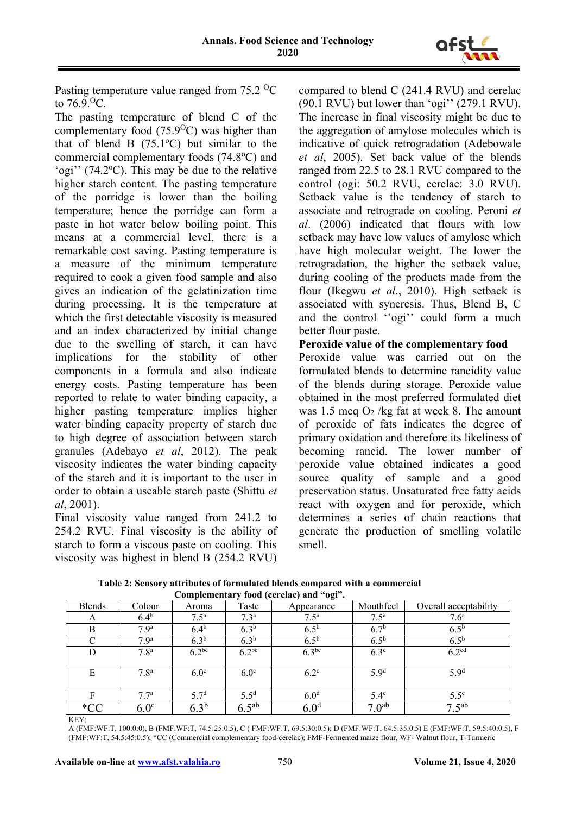

Pasting temperature value ranged from 75.2 <sup>o</sup>C to  $76.9\,^{\circ}\text{C}$ .

The pasting temperature of blend C of the complementary food  $(75.9\text{°C})$  was higher than that of blend B  $(75.1^{\circ}C)$  but similar to the commercial complementary foods (74.8°C) and 'ogi'' (74.2°C). This may be due to the relative higher starch content. The pasting temperature of the porridge is lower than the boiling temperature; hence the porridge can form a paste in hot water below boiling point. This means at a commercial level, there is a remarkable cost saving. Pasting temperature is a measure of the minimum temperature required to cook a given food sample and also gives an indication of the gelatinization time during processing. It is the temperature at which the first detectable viscosity is measured and an index characterized by initial change due to the swelling of starch, it can have implications for the stability of other components in a formula and also indicate energy costs. Pasting temperature has been reported to relate to water binding capacity, a higher pasting temperature implies higher water binding capacity property of starch due to high degree of association between starch granules (Adebayo *et al*, 2012). The peak viscosity indicates the water binding capacity of the starch and it is important to the user in order to obtain a useable starch paste (Shittu *et al*, 2001).

Final viscosity value ranged from 241.2 to 254.2 RVU. Final viscosity is the ability of starch to form a viscous paste on cooling. This viscosity was highest in blend B (254.2 RVU)

compared to blend C (241.4 RVU) and cerelac (90.1 RVU) but lower than 'ogi'' (279.1 RVU). The increase in final viscosity might be due to the aggregation of amylose molecules which is indicative of quick retrogradation (Adebowale *et al*, 2005). Set back value of the blends ranged from 22.5 to 28.1 RVU compared to the control (ogi: 50.2 RVU, cerelac: 3.0 RVU). Setback value is the tendency of starch to associate and retrograde on cooling. Peroni *et al*. (2006) indicated that flours with low setback may have low values of amylose which have high molecular weight. The lower the retrogradation, the higher the setback value, during cooling of the products made from the flour (Ikegwu *et al*., 2010). High setback is associated with syneresis. Thus, Blend B, C and the control ''ogi'' could form a much better flour paste.

### **Peroxide value of the complementary food**

Peroxide value was carried out on the formulated blends to determine rancidity value of the blends during storage. Peroxide value obtained in the most preferred formulated diet was 1.5 meg  $O_2$ /kg fat at week 8. The amount of peroxide of fats indicates the degree of primary oxidation and therefore its likeliness of becoming rancid. The lower number of peroxide value obtained indicates a good source quality of sample and a good preservation status. Unsaturated free fatty acids react with oxygen and for peroxide, which determines a series of chain reactions that generate the production of smelling volatile smell.

| Complementary food (cerefac) and ogi |                  |                  |                  |                  |                   |                       |  |  |
|--------------------------------------|------------------|------------------|------------------|------------------|-------------------|-----------------------|--|--|
| <b>Blends</b>                        | Colour           | Aroma            | Taste            | Appearance       | Mouthfeel         | Overall acceptability |  |  |
| A                                    | $6.4^b$          | 7.5 <sup>a</sup> | 7.3 <sup>a</sup> | 7.5 <sup>a</sup> | 7.5 <sup>a</sup>  | 7.6 <sup>a</sup>      |  |  |
| B                                    | 7.9 <sup>a</sup> | 6.4 <sup>b</sup> | 6.3 <sup>b</sup> | 6.5 <sup>b</sup> | 6.7 <sup>b</sup>  | $6.5^{\rm b}$         |  |  |
| C                                    | 7.9 <sup>a</sup> | 6.3 <sup>b</sup> | 6.3 <sup>b</sup> | 6.5 <sup>b</sup> | 6.5 <sup>b</sup>  | 6.5 <sup>b</sup>      |  |  |
| D                                    | 7.8 <sup>a</sup> | $6.2^{bc}$       | $6.2^{bc}$       | $6.3^{bc}$       | $6.3^\circ$       | 6.2 <sup>cd</sup>     |  |  |
| Ε                                    | 7.8 <sup>a</sup> | 6.0 <sup>c</sup> | 6.0 <sup>c</sup> | $6.2^{\circ}$    | 5.9 <sup>d</sup>  | 5.9 <sup>d</sup>      |  |  |
| F                                    | 7.7 <sup>a</sup> | 5.7 <sup>d</sup> | $5.5^{\rm d}$    | 6.0 <sup>d</sup> | $5.4^\circ$       | $5.5^{\circ}$         |  |  |
| $*CC$                                | 6.0 <sup>c</sup> | 6.3 <sup>b</sup> | $6.5^{ab}$       | 6.0 <sup>d</sup> | 7.0 <sup>ab</sup> | $7.5^{ab}$            |  |  |

**Table 2: Sensory attributes of formulated blends compared with a commercial Complementary food (cerelac) and "ogi".**

A (FMF:WF:T, 100:0:0), B (FMF:WF:T, 74.5:25:0.5), C ( FMF:WF:T, 69.5:30:0.5); D (FMF:WF:T, 64.5:35:0.5) E (FMF:WF:T, 59.5:40:0.5), F (FMF:WF:T, 54.5:45:0.5); \*CC (Commercial complementary food-cerelac); FMF-Fermented maize flour, WF- Walnut flour, T-Turmeric

KEY: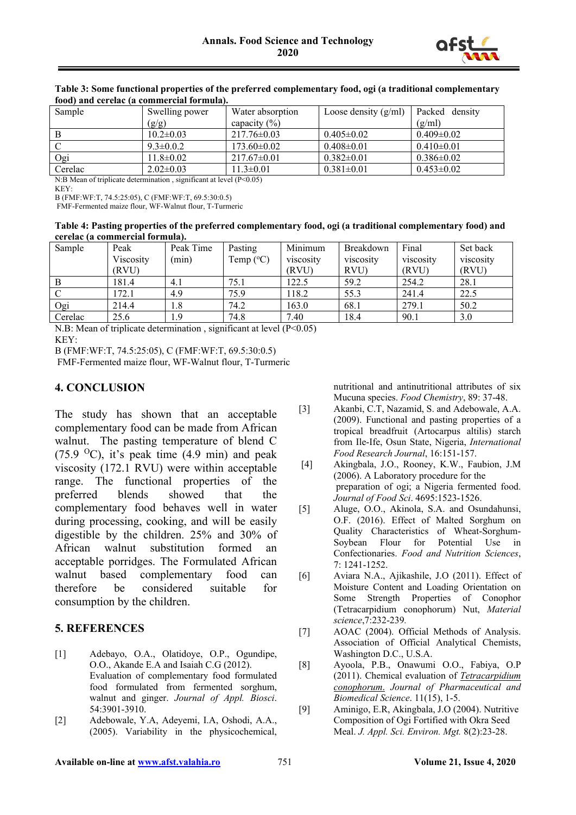

| Toou) and cerciae (a commercial formula).                                                                                                                                                                                                       |                 |                   |                        |                  |  |  |
|-------------------------------------------------------------------------------------------------------------------------------------------------------------------------------------------------------------------------------------------------|-----------------|-------------------|------------------------|------------------|--|--|
| Sample                                                                                                                                                                                                                                          | Swelling power  | Water absorption  | Loose density $(g/ml)$ | Packed density   |  |  |
|                                                                                                                                                                                                                                                 | (g/g)           | capacity $(\% )$  |                        | (g/ml)           |  |  |
|                                                                                                                                                                                                                                                 | $10.2 \pm 0.03$ | $217.76 \pm 0.03$ | $0.405 \pm 0.02$       | $0.409 \pm 0.02$ |  |  |
| C                                                                                                                                                                                                                                               | $9.3 \pm 0.0.2$ | $173.60 \pm 0.02$ | $0.408 \pm 0.01$       | $0.410 \pm 0.01$ |  |  |
| Ogi                                                                                                                                                                                                                                             | $11.8 \pm 0.02$ | $217.67 \pm 0.01$ | $0.382 \pm 0.01$       | $0.386 \pm 0.02$ |  |  |
| Cerelac                                                                                                                                                                                                                                         | $2.02 \pm 0.03$ | $11.3 \pm 0.01$   | $0.381 \pm 0.01$       | $0.453 \pm 0.02$ |  |  |
| $\mathbf{M} \mathbf{D} \mathbf{M}$ $\mathbf{C}_k \mathbf{U} \mathbf{U}$ $\mathbf{A} \mathbf{U}$ $\mathbf{A} \mathbf{U}$ $\mathbf{A} \mathbf{U}$ $\mathbf{A} \mathbf{U}$ $\mathbf{A} \mathbf{U}$ $\mathbf{A} \mathbf{U}$ $\mathbf{A} \mathbf{U}$ |                 |                   |                        |                  |  |  |

#### **Table 3: Some functional properties of the preferred complementary food, ogi (a traditional complementary food) and cerelac (a commercial formula).**

N:B Mean of triplicate determination , significant at level (P<0.05) KEY:

B (FMF:WF:T, 74.5:25:05), C (FMF:WF:T, 69.5:30:0.5)

FMF-Fermented maize flour, WF-Walnut flour, T-Turmeric

#### **Table 4: Pasting properties of the preferred complementary food, ogi (a traditional complementary food) and cerelac (a commercial formula).**

| Sample  | Peak      | Peak Time | Pasting            | Minimum   | Breakdown | Final     | Set back  |
|---------|-----------|-----------|--------------------|-----------|-----------|-----------|-----------|
|         | Viscosity | (min)     | Temp $(^{\circ}C)$ | viscosity | viscosity | viscosity | viscosity |
|         | (RVU)     |           |                    | (RVU)     | RVU)      | (RVU)     | (RVU)     |
|         | 181.4     | 4.1       | 75.1               | 122.5     | 59.2      | 254.2     | 28.1      |
|         | 172.1     | 4.9       | 75.9               | 118.2     | 55.3      | 241.4     | 22.5      |
| Ogi     | 214.4     | 1.8       | 74.2               | 163.0     | 68.1      | 279.1     | 50.2      |
| Cerelac | 25.6      | 1.9       | 74.8               | 7.40      | 18.4      | 90.1      | 3.0       |

N.B: Mean of triplicate determination, significant at level (P<0.05) KEY:

B (FMF:WF:T, 74.5:25:05), C (FMF:WF:T, 69.5:30:0.5)

FMF-Fermented maize flour, WF-Walnut flour, T-Turmeric

## **4. CONCLUSION**

The study has shown that an acceptable complementary food can be made from African walnut. The pasting temperature of blend C (75.9 <sup>o</sup>C), it's peak time (4.9 min) and peak viscosity (172.1 RVU) were within acceptable range. The functional properties of the preferred blends showed that the complementary food behaves well in water during processing, cooking, and will be easily digestible by the children. 25% and 30% of African walnut substitution formed an acceptable porridges. The Formulated African walnut based complementary food can therefore be considered suitable for consumption by the children.

## **5. REFERENCES**

- [1] Adebayo, O.A., Olatidoye, O.P., Ogundipe, O.O., Akande E.A and Isaiah C.G (2012). Evaluation of complementary food formulated food formulated from fermented sorghum, walnut and ginger. *Journal of Appl. Biosci*. 54:3901-3910.
- [2] Adebowale, Y.A, Adeyemi, I.A, Oshodi, A.A., (2005). Variability in the physicochemical,

nutritional and antinutritional attributes of six Mucuna species. *Food Chemistry*, 89: 37-48.

- [3] Akanbi, C.T, Nazamid, S. and Adebowale, A.A. (2009). Functional and pasting properties of a tropical breadfruit (Artocarpus altilis) starch from Ile-Ife, Osun State, Nigeria, *International Food Research Journal*, 16:151-157.
- [4] Akingbala, J.O., Rooney, K.W., Faubion, J.M (2006). A Laboratory procedure for the preparation of ogi; a Nigeria fermented food. *Journal of Food Sci*. 4695:1523-1526.
- [5] Aluge, O.O., Akinola, S.A. and Osundahunsi, O.F. (2016). Effect of Malted Sorghum on Quality Characteristics of Wheat-Sorghum-Soybean Flour for Potential Use in Confectionaries. *Food and Nutrition Sciences*, 7: 1241-1252.
- [6] Aviara N.A., Ajikashile, J.O (2011). Effect of Moisture Content and Loading Orientation on Some Strength Properties of Conophor (Tetracarpidium conophorum) Nut, *Material science*,7:232-239*.*
- [7] AOAC (2004). Official Methods of Analysis. Association of Official Analytical Chemists, Washington D.C., U.S.A.
- [8] Ayoola, P.B., Onawumi O.O., Fabiya, O.P (2011). Chemical evaluation of *Tetracarpidium conophorum*. *Journal of Pharmaceutical and Biomedical Science*. 11(15), 1-5.
- [9] Aminigo, E.R, Akingbala, J.O (2004). Nutritive Composition of Ogi Fortified with Okra Seed Meal. *J. Appl. Sci. Environ. Mgt.* 8(2):23-28.